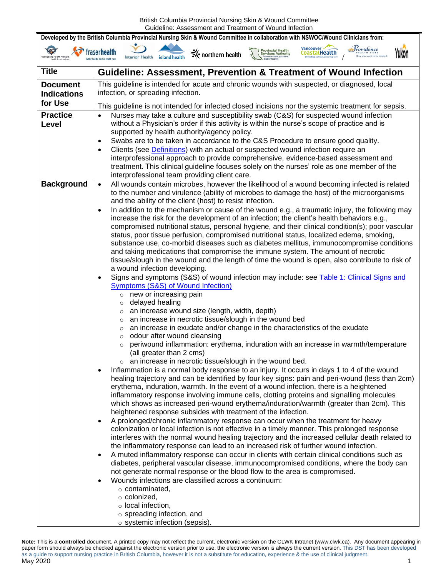| Developed by the British Columbia Provincial Nursing Skin & Wound Committee in collaboration with NSWOC/Wound Clinicians from: |                                                                                                                                                                                                                                                                                                                                                                                                                                                                                                                                                                                                                                                                                                                                                                                                                                                                                                                                                                                                                                                                                                                                                                                                                                                                                                                                                                                                                                                                                                                                                                                                                                                                                                                                                                                                                                                                                                                                                                                                                                                                                                                                                                                                                                                                                                                                                                                                                                                                                                                                                                                                                                                                                                                                                                                                                                                                                                                                                                                                                                                                                                                             |  |  |  |
|--------------------------------------------------------------------------------------------------------------------------------|-----------------------------------------------------------------------------------------------------------------------------------------------------------------------------------------------------------------------------------------------------------------------------------------------------------------------------------------------------------------------------------------------------------------------------------------------------------------------------------------------------------------------------------------------------------------------------------------------------------------------------------------------------------------------------------------------------------------------------------------------------------------------------------------------------------------------------------------------------------------------------------------------------------------------------------------------------------------------------------------------------------------------------------------------------------------------------------------------------------------------------------------------------------------------------------------------------------------------------------------------------------------------------------------------------------------------------------------------------------------------------------------------------------------------------------------------------------------------------------------------------------------------------------------------------------------------------------------------------------------------------------------------------------------------------------------------------------------------------------------------------------------------------------------------------------------------------------------------------------------------------------------------------------------------------------------------------------------------------------------------------------------------------------------------------------------------------------------------------------------------------------------------------------------------------------------------------------------------------------------------------------------------------------------------------------------------------------------------------------------------------------------------------------------------------------------------------------------------------------------------------------------------------------------------------------------------------------------------------------------------------------------------------------------------------------------------------------------------------------------------------------------------------------------------------------------------------------------------------------------------------------------------------------------------------------------------------------------------------------------------------------------------------------------------------------------------------------------------------------------------------|--|--|--|
| rst Nations Health Authority                                                                                                   | Providence<br>Vancouver $\rightarrow$<br><b>Provincial Health</b><br>Services Authority<br>raser health<br>CoastalHealth<br>northern health<br>Interior Health<br>island health                                                                                                                                                                                                                                                                                                                                                                                                                                                                                                                                                                                                                                                                                                                                                                                                                                                                                                                                                                                                                                                                                                                                                                                                                                                                                                                                                                                                                                                                                                                                                                                                                                                                                                                                                                                                                                                                                                                                                                                                                                                                                                                                                                                                                                                                                                                                                                                                                                                                                                                                                                                                                                                                                                                                                                                                                                                                                                                                             |  |  |  |
| <b>Title</b>                                                                                                                   | <b>Guideline: Assessment, Prevention &amp; Treatment of Wound Infection</b>                                                                                                                                                                                                                                                                                                                                                                                                                                                                                                                                                                                                                                                                                                                                                                                                                                                                                                                                                                                                                                                                                                                                                                                                                                                                                                                                                                                                                                                                                                                                                                                                                                                                                                                                                                                                                                                                                                                                                                                                                                                                                                                                                                                                                                                                                                                                                                                                                                                                                                                                                                                                                                                                                                                                                                                                                                                                                                                                                                                                                                                 |  |  |  |
| <b>Document</b><br><b>Indications</b>                                                                                          | This guideline is intended for acute and chronic wounds with suspected, or diagnosed, local<br>infection, or spreading infection.                                                                                                                                                                                                                                                                                                                                                                                                                                                                                                                                                                                                                                                                                                                                                                                                                                                                                                                                                                                                                                                                                                                                                                                                                                                                                                                                                                                                                                                                                                                                                                                                                                                                                                                                                                                                                                                                                                                                                                                                                                                                                                                                                                                                                                                                                                                                                                                                                                                                                                                                                                                                                                                                                                                                                                                                                                                                                                                                                                                           |  |  |  |
| for Use                                                                                                                        | This guideline is not intended for infected closed incisions nor the systemic treatment for sepsis.                                                                                                                                                                                                                                                                                                                                                                                                                                                                                                                                                                                                                                                                                                                                                                                                                                                                                                                                                                                                                                                                                                                                                                                                                                                                                                                                                                                                                                                                                                                                                                                                                                                                                                                                                                                                                                                                                                                                                                                                                                                                                                                                                                                                                                                                                                                                                                                                                                                                                                                                                                                                                                                                                                                                                                                                                                                                                                                                                                                                                         |  |  |  |
| <b>Practice</b><br>Level                                                                                                       | Nurses may take a culture and susceptibility swab (C&S) for suspected wound infection<br>$\bullet$<br>without a Physician's order if this activity is within the nurse's scope of practice and is<br>supported by health authority/agency policy.<br>Swabs are to be taken in accordance to the C&S Procedure to ensure good quality.<br>٠<br>Clients (see <b>Definitions</b> ) with an actual or suspected wound infection require an<br>$\bullet$<br>interprofessional approach to provide comprehensive, evidence-based assessment and<br>treatment. This clinical guideline focuses solely on the nurses' role as one member of the<br>interprofessional team providing client care.                                                                                                                                                                                                                                                                                                                                                                                                                                                                                                                                                                                                                                                                                                                                                                                                                                                                                                                                                                                                                                                                                                                                                                                                                                                                                                                                                                                                                                                                                                                                                                                                                                                                                                                                                                                                                                                                                                                                                                                                                                                                                                                                                                                                                                                                                                                                                                                                                                    |  |  |  |
| <b>Background</b>                                                                                                              | All wounds contain microbes, however the likelihood of a wound becoming infected is related<br>۰<br>to the number and virulence (ability of microbes to damage the host) of the microorganisms<br>and the ability of the client (host) to resist infection.<br>In addition to the mechanism or cause of the wound e.g., a traumatic injury, the following may<br>٠<br>increase the risk for the development of an infection; the client's health behaviors e.g.,<br>compromised nutritional status, personal hygiene, and their clinical condition(s); poor vascular<br>status, poor tissue perfusion, compromised nutritional status, localized edema, smoking,<br>substance use, co-morbid diseases such as diabetes mellitus, immunocompromise conditions<br>and taking medications that compromise the immune system. The amount of necrotic<br>tissue/slough in the wound and the length of time the wound is open, also contribute to risk of<br>a wound infection developing.<br>Signs and symptoms (S&S) of wound infection may include: see Table 1: Clinical Signs and<br>٠<br>Symptoms (S&S) of Wound Infection)<br>new or increasing pain<br>$\circ$<br>delayed healing<br>$\circ$<br>an increase wound size (length, width, depth)<br>$\circ$<br>an increase in necrotic tissue/slough in the wound bed<br>$\circ$<br>an increase in exudate and/or change in the characteristics of the exudate<br>$\circ$<br>odour after wound cleansing<br>$\circ$<br>periwound inflammation: erythema, induration with an increase in warmth/temperature<br>$\circ$<br>(all greater than 2 cms)<br>o an increase in necrotic tissue/slough in the wound bed.<br>Inflammation is a normal body response to an injury. It occurs in days 1 to 4 of the wound<br>$\bullet$<br>healing trajectory and can be identified by four key signs: pain and peri-wound (less than 2cm)<br>erythema, induration, warmth. In the event of a wound infection, there is a heightened<br>inflammatory response involving immune cells, clotting proteins and signalling molecules<br>which shows as increased peri-wound erythema/induration/warmth (greater than 2cm). This<br>heightened response subsides with treatment of the infection.<br>A prolonged/chronic inflammatory response can occur when the treatment for heavy<br>٠<br>colonization or local infection is not effective in a timely manner. This prolonged response<br>interferes with the normal wound healing trajectory and the increased cellular death related to<br>the inflammatory response can lead to an increased risk of further wound infection.<br>A muted inflammatory response can occur in clients with certain clinical conditions such as<br>$\bullet$<br>diabetes, peripheral vascular disease, immunocompromised conditions, where the body can<br>not generate normal response or the blood flow to the area is compromised.<br>Wounds infections are classified across a continuum:<br>$\bullet$<br>$\circ$ contaminated,<br>$\circ$ colonized,<br>$\circ$ local infection,<br>$\circ$ spreading infection, and<br>o systemic infection (sepsis). |  |  |  |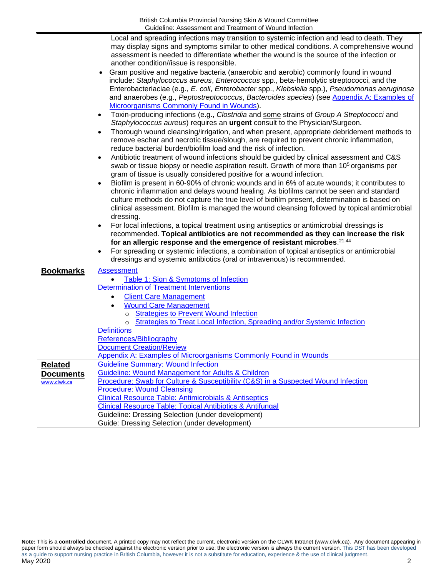<span id="page-1-1"></span><span id="page-1-0"></span>

|                  | Local and spreading infections may transition to systemic infection and lead to death. They                                                                         |
|------------------|---------------------------------------------------------------------------------------------------------------------------------------------------------------------|
|                  | may display signs and symptoms similar to other medical conditions. A comprehensive wound                                                                           |
|                  | assessment is needed to differentiate whether the wound is the source of the infection or                                                                           |
|                  | another condition//issue is responsible.                                                                                                                            |
|                  | Gram positive and negative bacteria (anaerobic and aerobic) commonly found in wound<br>$\bullet$                                                                    |
|                  | include: Staphylococcus aureus, Enterococcus spp., beta-hemolytic streptococci, and the                                                                             |
|                  | Enterobacteriaciae (e.g., E. coli, Enterobacter spp., Klebsiella spp.), Pseudomonas aeruginosa                                                                      |
|                  | and anaerobes (e.g., Peptostreptococcus, Bacteroides species) (see Appendix A: Examples of                                                                          |
|                  | Microorganisms Commonly Found in Wounds).                                                                                                                           |
|                  | Toxin-producing infections (e.g., Clostridia and some strains of Group A Streptococci and<br>$\bullet$                                                              |
|                  | Staphylococcus aureus) requires an urgent consult to the Physician/Surgeon.                                                                                         |
|                  | Thorough wound cleansing/irrigation, and when present, appropriate debridement methods to<br>$\bullet$                                                              |
|                  | remove eschar and necrotic tissue/slough, are required to prevent chronic inflammation,                                                                             |
|                  | reduce bacterial burden/biofilm load and the risk of infection.                                                                                                     |
|                  | Antibiotic treatment of wound infections should be guided by clinical assessment and C&S<br>$\bullet$                                                               |
|                  | swab or tissue biopsy or needle aspiration result. Growth of more than 10 <sup>5</sup> organisms per                                                                |
|                  | gram of tissue is usually considered positive for a wound infection.<br>Biofilm is present in 60-90% of chronic wounds and in 6% of acute wounds; it contributes to |
|                  | $\bullet$<br>chronic inflammation and delays wound healing. As biofilms cannot be seen and standard                                                                 |
|                  | culture methods do not capture the true level of biofilm present, determination is based on                                                                         |
|                  | clinical assessment. Biofilm is managed the wound cleansing followed by topical antimicrobial                                                                       |
|                  | dressing.                                                                                                                                                           |
|                  | For local infections, a topical treatment using antiseptics or antimicrobial dressings is<br>$\bullet$                                                              |
|                  | recommended. Topical antibiotics are not recommended as they can increase the risk                                                                                  |
|                  | for an allergic response and the emergence of resistant microbes. 21,44                                                                                             |
|                  | For spreading or systemic infections, a combination of topical antiseptics or antimicrobial<br>$\bullet$                                                            |
|                  | dressings and systemic antibiotics (oral or intravenous) is recommended.                                                                                            |
| <b>Bookmarks</b> | <b>Assessment</b>                                                                                                                                                   |
|                  | Table 1: Sign & Symptoms of Infection                                                                                                                               |
|                  | Determination of Treatment Interventions                                                                                                                            |
|                  | <b>Client Care Management</b>                                                                                                                                       |
|                  | <b>Wound Care Management</b>                                                                                                                                        |
|                  | <b>Strategies to Prevent Wound Infection</b><br>$\circ$                                                                                                             |
|                  | Strategies to Treat Local Infection, Spreading and/or Systemic Infection<br>$\circ$                                                                                 |
|                  | <b>Definitions</b>                                                                                                                                                  |
|                  | References/Bibliography                                                                                                                                             |
|                  | <b>Document Creation/Review</b>                                                                                                                                     |
|                  | Appendix A: Examples of Microorganisms Commonly Found in Wounds                                                                                                     |
| <b>Related</b>   | <b>Guideline Summary: Wound Infection</b>                                                                                                                           |
| <b>Documents</b> | <b>Guideline: Wound Management for Adults &amp; Children</b>                                                                                                        |
| www.clwk.ca      | Procedure: Swab for Culture & Susceptibility (C&S) in a Suspected Wound Infection                                                                                   |
|                  | <b>Procedure: Wound Cleansing</b>                                                                                                                                   |
|                  | <b>Clinical Resource Table: Antimicrobials &amp; Antiseptics</b><br>Clinical Resource Table: Topical Antibiotics & Antifungal                                       |
|                  | Guideline: Dressing Selection (under development)                                                                                                                   |
|                  | Guide: Dressing Selection (under development)                                                                                                                       |
|                  |                                                                                                                                                                     |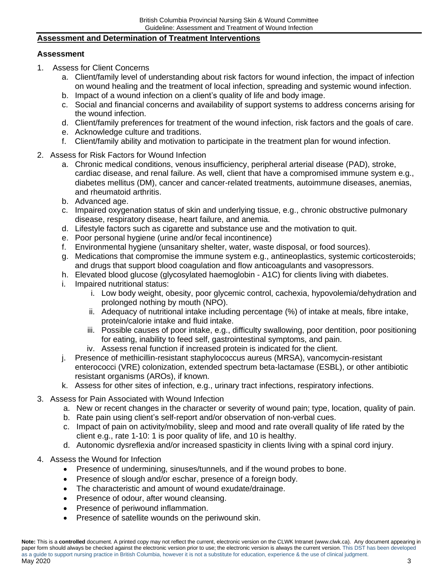## **Assessment and Determination of Treatment Interventions**

## <span id="page-2-1"></span>**Assessment**

- 1. Assess for Client Concerns
	- a. Client/family level of understanding about risk factors for wound infection, the impact of infection on wound healing and the treatment of local infection, spreading and systemic wound infection.
	- b. Impact of a wound infection on a client's quality of life and body image.
	- c. Social and financial concerns and availability of support systems to address concerns arising for the wound infection.
	- d. Client/family preferences for treatment of the wound infection, risk factors and the goals of care.
	- e. Acknowledge culture and traditions.
	- f. Client/family ability and motivation to participate in the treatment plan for wound infection.
- 2. Assess for Risk Factors for Wound Infection
	- a. Chronic medical conditions, venous insufficiency, peripheral arterial disease (PAD), stroke, cardiac disease, and renal failure. As well, client that have a compromised immune system e.g., diabetes mellitus (DM), cancer and cancer-related treatments, autoimmune diseases, anemias, and rheumatoid arthritis.
	- b. Advanced age.
	- c. Impaired oxygenation status of skin and underlying tissue, e.g., chronic obstructive pulmonary disease, respiratory disease, heart failure, and anemia.
	- d. Lifestyle factors such as cigarette and substance use and the motivation to quit.
	- e. Poor personal hygiene (urine and/or fecal incontinence)
	- f. Environmental hygiene (unsanitary shelter, water, waste disposal, or food sources).
	- g. Medications that compromise the immune system e.g., antineoplastics, systemic corticosteroids; and drugs that support blood coagulation and flow anticoagulants and vasopressors.
	- h. Elevated blood glucose (glycosylated haemoglobin A1C) for clients living with diabetes.
	- i. Impaired nutritional status:
		- i. Low body weight, obesity, poor glycemic control, cachexia, hypovolemia/dehydration and prolonged nothing by mouth (NPO).
		- ii. Adequacy of nutritional intake including percentage (%) of intake at meals, fibre intake, protein/calorie intake and fluid intake.
		- iii. Possible causes of poor intake, e.g., difficulty swallowing, poor dentition, poor positioning for eating, inability to feed self, gastrointestinal symptoms, and pain.
		- iv. Assess renal function if increased protein is indicated for the client.
	- j. Presence of methicillin-resistant staphylococcus aureus (MRSA), vancomycin-resistant enterococci (VRE) colonization, extended spectrum beta-lactamase (ESBL), or other antibiotic resistant organisms (AROs), if known.
	- k. Assess for other sites of infection, e.g., urinary tract infections, respiratory infections.
- 3. Assess for Pain Associated with Wound Infection
	- a. New or recent changes in the character or severity of wound pain; type, location, quality of pain.
	- b. Rate pain using client's self-report and/or observation of non-verbal cues.
	- c. Impact of pain on activity/mobility, sleep and mood and rate overall quality of life rated by the client e.g., rate 1-10: 1 is poor quality of life, and 10 is healthy.
	- d. Autonomic dysreflexia and/or increased spasticity in clients living with a spinal cord injury.
- <span id="page-2-0"></span>4. Assess the Wound for Infection
	- Presence of undermining, sinuses/tunnels, and if the wound probes to bone.
	- Presence of slough and/or eschar, presence of a foreign body.
	- The characteristic and amount of wound exudate/drainage.
	- Presence of odour, after wound cleansing.
	- Presence of periwound inflammation.
	- Presence of satellite wounds on the periwound skin.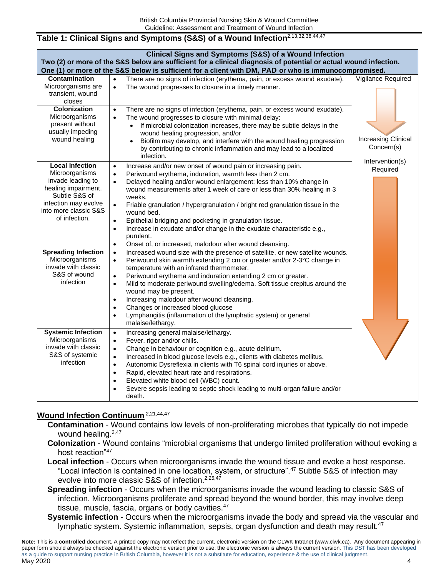## **Table 1: Clinical Signs and Symptoms (S&S) of a Wound Infection**2,13,32,38,44,47

| <b>Clinical Signs and Symptoms (S&amp;S) of a Wound Infection</b><br>Two (2) or more of the S&S below are sufficient for a clinical diagnosis of potential or actual wound infection.<br>One (1) or more of the S&S below is sufficient for a client with DM, PAD or who is immunocompromised. |                                                                                                                                                                                                                                                                                                                                                                                                                                                                                                                                                                                                                                                                                                                                                                                                                                                                                                                                                                                                                                                                                                                                                                                    |                                                             |  |  |
|------------------------------------------------------------------------------------------------------------------------------------------------------------------------------------------------------------------------------------------------------------------------------------------------|------------------------------------------------------------------------------------------------------------------------------------------------------------------------------------------------------------------------------------------------------------------------------------------------------------------------------------------------------------------------------------------------------------------------------------------------------------------------------------------------------------------------------------------------------------------------------------------------------------------------------------------------------------------------------------------------------------------------------------------------------------------------------------------------------------------------------------------------------------------------------------------------------------------------------------------------------------------------------------------------------------------------------------------------------------------------------------------------------------------------------------------------------------------------------------|-------------------------------------------------------------|--|--|
| <b>Contamination</b><br>Microorganisms are<br>transient, wound<br>closes                                                                                                                                                                                                                       | There are no signs of infection (erythema, pain, or excess wound exudate).<br>$\bullet$<br>The wound progresses to closure in a timely manner.<br>$\bullet$                                                                                                                                                                                                                                                                                                                                                                                                                                                                                                                                                                                                                                                                                                                                                                                                                                                                                                                                                                                                                        | Vigilance Required                                          |  |  |
| <b>Colonization</b><br>Microorganisms<br>present without<br>usually impeding<br>wound healing                                                                                                                                                                                                  | There are no signs of infection (erythema, pain, or excess wound exudate).<br>$\bullet$<br>The wound progresses to closure with minimal delay:<br>$\bullet$<br>If microbial colonization increases, there may be subtle delays in the<br>$\bullet$<br>wound healing progression, and/or<br>Biofilm may develop, and interfere with the wound healing progression<br>$\bullet$<br>by contributing to chronic inflammation and may lead to a localized<br>infection.                                                                                                                                                                                                                                                                                                                                                                                                                                                                                                                                                                                                                                                                                                                 | <b>Increasing Clinical</b><br>Concern(s)<br>Intervention(s) |  |  |
| <b>Local Infection</b><br>Microorganisms<br>invade leading to<br>healing impairment.<br>Subtle S&S of<br>infection may evolve<br>into more classic S&S<br>of infection.<br><b>Spreading Infection</b><br>Microorganisms<br>invade with classic<br>S&S of wound<br>infection                    | Increase and/or new onset of wound pain or increasing pain.<br>$\bullet$<br>Periwound erythema, induration, warmth less than 2 cm.<br>$\bullet$<br>Delayed healing and/or wound enlargement: less than 10% change in<br>$\bullet$<br>wound measurements after 1 week of care or less than 30% healing in 3<br>weeks.<br>Friable granulation / hypergranulation / bright red granulation tissue in the<br>$\bullet$<br>wound bed.<br>Epithelial bridging and pocketing in granulation tissue.<br>$\bullet$<br>Increase in exudate and/or change in the exudate characteristic e.g.,<br>$\bullet$<br>purulent.<br>Onset of, or increased, malodour after wound cleansing.<br>$\bullet$<br>Increased wound size with the presence of satellite, or new satellite wounds.<br>$\bullet$<br>Periwound skin warmth extending 2 cm or greater and/or 2-3°C change in<br>$\bullet$<br>temperature with an infrared thermometer.<br>Periwound erythema and induration extending 2 cm or greater.<br>$\bullet$<br>Mild to moderate periwound swelling/edema. Soft tissue crepitus around the<br>$\bullet$<br>wound may be present.<br>Increasing malodour after wound cleansing.<br>$\bullet$ | Required                                                    |  |  |
|                                                                                                                                                                                                                                                                                                | Changes or increased blood glucose<br>$\bullet$<br>Lymphangitis (inflammation of the lymphatic system) or general<br>$\bullet$<br>malaise/lethargy.                                                                                                                                                                                                                                                                                                                                                                                                                                                                                                                                                                                                                                                                                                                                                                                                                                                                                                                                                                                                                                |                                                             |  |  |
| <b>Systemic Infection</b><br>Microorganisms<br>invade with classic<br>S&S of systemic<br>infection                                                                                                                                                                                             | Increasing general malaise/lethargy.<br>$\bullet$<br>Fever, rigor and/or chills.<br>$\bullet$<br>Change in behaviour or cognition e.g., acute delirium.<br>$\bullet$<br>Increased in blood glucose levels e.g., clients with diabetes mellitus.<br>$\bullet$<br>Autonomic Dysreflexia in clients with T6 spinal cord injuries or above.<br>$\bullet$<br>Rapid, elevated heart rate and respirations.<br>$\bullet$<br>Elevated white blood cell (WBC) count.<br>$\bullet$<br>Severe sepsis leading to septic shock leading to multi-organ failure and/or<br>death.                                                                                                                                                                                                                                                                                                                                                                                                                                                                                                                                                                                                                  |                                                             |  |  |

# **Wound Infection Continuum** 2,21,44,47

**Contamination** - Wound contains low levels of non-proliferating microbes that typically do not impede wound healing.<sup>2,47</sup>

- **Colonization** Wound contains "microbial organisms that undergo limited proliferation without evoking a host reaction"<sup>47</sup>
- **Local infection** Occurs when microorganisms invade the wound tissue and evoke a host response. "Local infection is contained in one location, system, or structure".<sup>47</sup> Subtle S&S of infection may evolve into more classic S&S of infection.<sup>2,25,47</sup>
- **Spreading infection** Occurs when the microorganisms invade the wound leading to classic S&S of infection. Microorganisms proliferate and spread beyond the wound border, this may involve deep tissue, muscle, fascia, organs or body cavities. $47$
- **Systemic infection** Occurs when the microorganisms invade the body and spread via the vascular and lymphatic system. Systemic inflammation, sepsis, organ dysfunction and death may result.<sup>47</sup>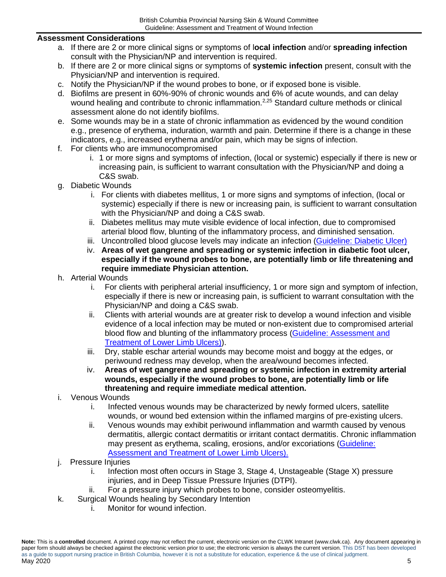## **Assessment Considerations**

- a. If there are 2 or more clinical signs or symptoms of l**ocal infection** and/or **spreading infection** consult with the Physician/NP and intervention is required.
- b. If there are 2 or more clinical signs or symptoms of **systemic infection** present, consult with the Physician/NP and intervention is required.
- c. Notify the Physician/NP if the wound probes to bone, or if exposed bone is visible.
- d. Biofilms are present in 60%-90% of chronic wounds and 6% of acute wounds, and can delay wound healing and contribute to chronic inflammation.<sup>2,25</sup> Standard culture methods or clinical assessment alone do not identify biofilms.
- e. Some wounds may be in a state of chronic inflammation as evidenced by the wound condition e.g., presence of erythema, induration, warmth and pain. Determine if there is a change in these indicators, e.g., increased erythema and/or pain, which may be signs of infection.
- f. For clients who are immunocompromised
	- i. 1 or more signs and symptoms of infection, (local or systemic) especially if there is new or increasing pain, is sufficient to warrant consultation with the Physician/NP and doing a C&S swab.
- g. Diabetic Wounds
	- i. For clients with diabetes mellitus, 1 or more signs and symptoms of infection, (local or systemic) especially if there is new or increasing pain, is sufficient to warrant consultation with the Physician/NP and doing a C&S swab.
	- ii. Diabetes mellitus may mute visible evidence of local infection, due to compromised arterial blood flow, blunting of the inflammatory process, and diminished sensation.
	- iii. Uncontrolled blood glucose levels may indicate an infection [\(Guideline: Diabetic Ulcer\)](https://www.clwk.ca/buddydrive/file/guideline-diabetic-neuropathic-ulcers/)
	- iv. **Areas of wet gangrene and spreading or systemic infection in diabetic foot ulcer, especially if the wound probes to bone, are potentially limb or life threatening and require immediate Physician attention.**
- h. Arterial Wounds
	- i. For clients with peripheral arterial insufficiency, 1 or more sign and symptom of infection, especially if there is new or increasing pain, is sufficient to warrant consultation with the Physician/NP and doing a C&S swab.
	- ii. Clients with arterial wounds are at greater risk to develop a wound infection and visible evidence of a local infection may be muted or non-existent due to compromised arterial blood flow and blunting of the inflammatory process [\(Guideline: Assessment and](https://www.clwk.ca/buddydrive/file/guideline-lower-limb-venous-arterial/)  [Treatment of Lower Limb Ulcers\)\)](https://www.clwk.ca/buddydrive/file/guideline-lower-limb-venous-arterial/).
	- iii. Dry, stable eschar arterial wounds may become moist and boggy at the edges, or periwound redness may develop, when the area/wound becomes infected.
	- iv. **Areas of wet gangrene and spreading or systemic infection in extremity arterial wounds, especially if the wound probes to bone, are potentially limb or life threatening and require immediate medical attention.**
- i. Venous Wounds
	- i. Infected venous wounds may be characterized by newly formed ulcers, satellite wounds, or wound bed extension within the inflamed margins of pre-existing ulcers.
	- ii. Venous wounds may exhibit periwound inflammation and warmth caused by venous dermatitis, allergic contact dermatitis or irritant contact dermatitis. Chronic inflammation may present as erythema, scaling, erosions, and/or excoriations [\(Guideline:](https://www.clwk.ca/buddydrive/file/guideline-lower-limb-venous-arterial/)  [Assessment and Treatment of Lower Limb Ulcers\).](https://www.clwk.ca/buddydrive/file/guideline-lower-limb-venous-arterial/)
- j. Pressure Injuries
	- i. Infection most often occurs in Stage 3, Stage 4, Unstageable (Stage X) pressure injuries, and in Deep Tissue Pressure Injuries (DTPI).
	- ii. For a pressure injury which probes to bone, consider osteomyelitis.
- k. Surgical Wounds healing by Secondary Intention
	- i. Monitor for wound infection.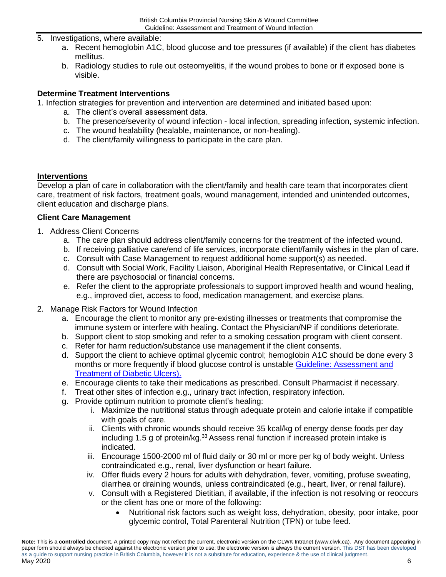- 5. Investigations, where available:
	- a. Recent hemoglobin A1C, blood glucose and toe pressures (if available) if the client has diabetes mellitus.
	- b. Radiology studies to rule out osteomyelitis, if the wound probes to bone or if exposed bone is visible.

## <span id="page-5-0"></span>**Determine Treatment Interventions**

- 1. Infection strategies for prevention and intervention are determined and initiated based upon:
	- a. The client's overall assessment data.
	- b. The presence/severity of wound infection local infection, spreading infection, systemic infection.
	- c. The wound healability (healable, maintenance, or non-healing).
	- d. The client/family willingness to participate in the care plan.

## **Interventions**

Develop a plan of care in collaboration with the client/family and health care team that incorporates client care, treatment of risk factors, treatment goals, wound management, intended and unintended outcomes, client education and discharge plans.

## **Client Care Management**

- 1. Address Client Concerns
	- a. The care plan should address client/family concerns for the treatment of the infected wound.
	- b. If receiving palliative care/end of life services, incorporate client/family wishes in the plan of care.
	- c. Consult with Case Management to request additional home support(s) as needed.
	- d. Consult with Social Work, Facility Liaison, Aboriginal Health Representative, or Clinical Lead if there are psychosocial or financial concerns.
	- e. Refer the client to the appropriate professionals to support improved health and wound healing, e.g., improved diet, access to food, medication management, and exercise plans.
- 2. Manage Risk Factors for Wound Infection
	- a. Encourage the client to monitor any pre-existing illnesses or treatments that compromise the immune system or interfere with healing. Contact the Physician/NP if conditions deteriorate.
	- b. Support client to stop smoking and refer to a smoking cessation program with client consent.
	- c. Refer for harm reduction/substance use management if the client consents.
	- d. Support the client to achieve optimal glycemic control; hemoglobin A1C should be done every 3 months or more frequently if blood glucose control is unstable Guideline: Assessment and [Treatment of Diabetic Ulcers\).](https://www.clwk.ca/buddydrive/file/guideline-diabetic-neuropathic-ulcers/)
	- e. Encourage clients to take their medications as prescribed. Consult Pharmacist if necessary.
	- f. Treat other sites of infection e.g., urinary tract infection, respiratory infection.
	- g. Provide optimum nutrition to promote client's healing:
		- i. Maximize the nutritional status through adequate protein and calorie intake if compatible with goals of care.
		- ii. Clients with chronic wounds should receive 35 kcal/kg of energy dense foods per day including 1.5 g of protein/kg.<sup>33</sup> Assess renal function if increased protein intake is indicated.
		- iii. Encourage 1500-2000 ml of fluid daily or 30 ml or more per kg of body weight. Unless contraindicated e.g., renal, liver dysfunction or heart failure.
		- iv. Offer fluids every 2 hours for adults with dehydration, fever, vomiting, profuse sweating, diarrhea or draining wounds, unless contraindicated (e.g., heart, liver, or renal failure).
		- v. Consult with a Registered Dietitian, if available, if the infection is not resolving or reoccurs or the client has one or more of the following:
			- Nutritional risk factors such as weight loss, dehydration, obesity, poor intake, poor glycemic control, Total Parenteral Nutrition (TPN) or tube feed.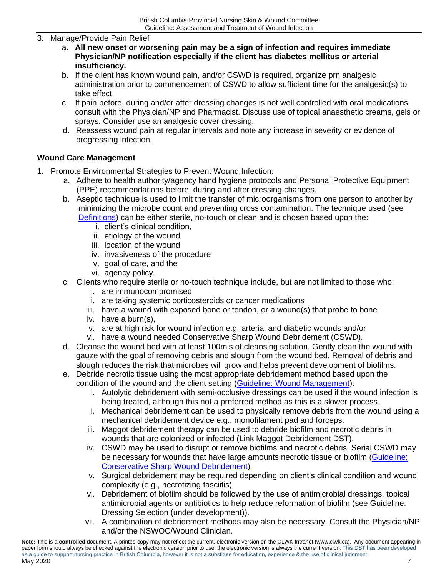## 3. Manage/Provide Pain Relief

- a. **All new onset or worsening pain may be a sign of infection and requires immediate Physician/NP notification especially if the client has diabetes mellitus or arterial insufficiency.**
- b. If the client has known wound pain, and/or CSWD is required, organize prn analgesic administration prior to commencement of CSWD to allow sufficient time for the analgesic(s) to take effect.
- c. If pain before, during and/or after dressing changes is not well controlled with oral medications consult with the Physician/NP and Pharmacist. Discuss use of topical anaesthetic creams, gels or sprays. Consider use an analgesic cover dressing.
- d. Reassess wound pain at regular intervals and note any increase in severity or evidence of progressing infection.

## **Wound Care Management**

- <span id="page-6-0"></span>1. Promote Environmental Strategies to Prevent Wound Infection:
	- a. Adhere to health authority/agency hand hygiene protocols and Personal Protective Equipment (PPE) recommendations before, during and after dressing changes.
	- b. Aseptic technique is used to limit the transfer of microorganisms from one person to another by minimizing the microbe count and preventing cross contamination. The technique used (see [Definitions\)](#page-10-0) can be either sterile, no-touch or clean and is chosen based upon the:
		- i. client's clinical condition,
		- ii. etiology of the wound
		- iii. location of the wound
		- iv. invasiveness of the procedure
		- v. goal of care, and the
		- vi. agency policy.
	- c. Clients who require sterile or no-touch technique include, but are not limited to those who:
		- i. are immunocompromised
		- ii. are taking systemic corticosteroids or cancer medications
		- iii. have a wound with exposed bone or tendon, or a wound(s) that probe to bone
		- iv. have a burn(s),
		- v. are at high risk for wound infection e.g. arterial and diabetic wounds and/or
		- vi. have a wound needed Conservative Sharp Wound Debridement (CSWD).
	- d. Cleanse the wound bed with at least 100mls of cleansing solution. Gently clean the wound with gauze with the goal of removing debris and slough from the wound bed. Removal of debris and slough reduces the risk that microbes will grow and helps prevent development of biofilms.
	- e. Debride necrotic tissue using the most appropriate debridement method based upon the condition of the wound and the client setting [\(Guideline: Wound Management\)](https://www.clwk.ca/buddydrive/file/guideline-wound-management-2018-august/):
		- i. Autolytic debridement with semi-occlusive dressings can be used if the wound infection is being treated, although this not a preferred method as this is a slower process.
		- ii. Mechanical debridement can be used to physically remove debris from the wound using a mechanical debridement device e.g., monofilament pad and forceps.
		- iii. Maggot debridement therapy can be used to debride biofilm and necrotic debris in wounds that are colonized or infected (Link Maggot Debridement DST).
		- iv. CSWD may be used to disrupt or remove biofilms and necrotic debris. Serial CSWD may be necessary for wounds that have large amounts necrotic tissue or biofilm (Guideline: [Conservative Sharp Wound Debridement\)](https://www.clwk.ca/buddydrive/file/guideline-procedure-cswd/)
		- v. Surgical debridement may be required depending on client's clinical condition and wound complexity (e.g., necrotizing fasciitis).
		- vi. Debridement of biofilm should be followed by the use of antimicrobial dressings, topical antimicrobial agents or antibiotics to help reduce reformation of biofilm (see Guideline: Dressing Selection (under development)).
		- vii. A combination of debridement methods may also be necessary. Consult the Physician/NP and/or the NSWOC/Wound Clinician.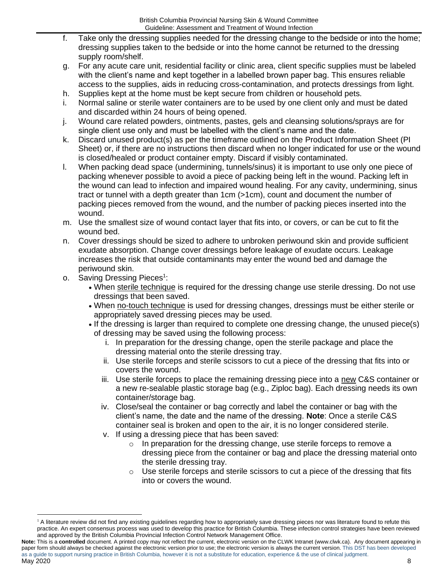- f. Take only the dressing supplies needed for the dressing change to the bedside or into the home; dressing supplies taken to the bedside or into the home cannot be returned to the dressing supply room/shelf.
- g. For any acute care unit, residential facility or clinic area, client specific supplies must be labeled with the client's name and kept together in a labelled brown paper bag. This ensures reliable access to the supplies, aids in reducing cross-contamination, and protects dressings from light.
- h. Supplies kept at the home must be kept secure from children or household pets.
- i. Normal saline or sterile water containers are to be used by one client only and must be dated and discarded within 24 hours of being opened.
- j. Wound care related powders, ointments, pastes, gels and cleansing solutions/sprays are for single client use only and must be labelled with the client's name and the date.
- k. Discard unused product(s) as per the timeframe outlined on the Product Information Sheet (PI Sheet) or, if there are no instructions then discard when no longer indicated for use or the wound is closed/healed or product container empty. Discard if visibly contaminated.
- l. When packing dead space (undermining, tunnels/sinus) it is important to use only one piece of packing whenever possible to avoid a piece of packing being left in the wound. Packing left in the wound can lead to infection and impaired wound healing. For any cavity, undermining, sinus tract or tunnel with a depth greater than 1cm (>1cm), count and document the number of packing pieces removed from the wound, and the number of packing pieces inserted into the wound.
- m. Use the smallest size of wound contact layer that fits into, or covers, or can be cut to fit the wound bed.
- n. Cover dressings should be sized to adhere to unbroken periwound skin and provide sufficient exudate absorption. Change cover dressings before leakage of exudate occurs. Leakage increases the risk that outside contaminants may enter the wound bed and damage the periwound skin.
- o. Saving Dressing Pieces<sup>1</sup>:
	- When sterile technique is required for the dressing change use sterile dressing. Do not use dressings that been saved.
	- When no-touch technique is used for dressing changes, dressings must be either sterile or appropriately saved dressing pieces may be used.
	- If the dressing is larger than required to complete one dressing change, the unused piece(s) of dressing may be saved using the following process:
		- i. In preparation for the dressing change, open the sterile package and place the dressing material onto the sterile dressing tray.
		- ii. Use sterile forceps and sterile scissors to cut a piece of the dressing that fits into or covers the wound.
		- iii. Use sterile forceps to place the remaining dressing piece into a new C&S container or a new re-sealable plastic storage bag (e.g., Ziploc bag). Each dressing needs its own container/storage bag.
		- iv. Close/seal the container or bag correctly and label the container or bag with the client's name, the date and the name of the dressing. **Note**: Once a sterile C&S container seal is broken and open to the air, it is no longer considered sterile.
		- v. If using a dressing piece that has been saved:
			- o In preparation for the dressing change, use sterile forceps to remove a dressing piece from the container or bag and place the dressing material onto the sterile dressing tray.
			- $\circ$  Use sterile forceps and sterile scissors to cut a piece of the dressing that fits into or covers the wound.

<sup>&</sup>lt;sup>1</sup> A literature review did not find any existing guidelines regarding how to appropriately save dressing pieces nor was literature found to refute this practice. An expert consensus process was used to develop this practice for British Columbia. These infection control strategies have been reviewed and approved by the British Columbia Provincial Infection Control Network Management Office.

**Note:** This is a **controlled** document. A printed copy may not reflect the current, electronic version on the CLWK Intranet (www.clwk.ca). Any document appearing in paper form should always be checked against the electronic version prior to use; the electronic version is always the current version. This DST has been developed as a guide to support nursing practice in British Columbia, however it is not a substitute for education, experience & the use of clinical judgment. May 2020 8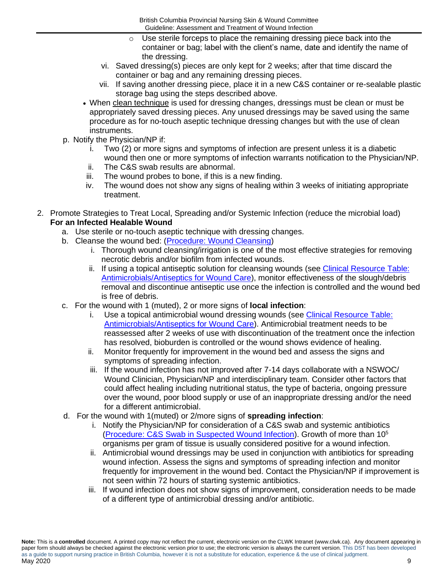- $\circ$  Use sterile forceps to place the remaining dressing piece back into the container or bag; label with the client's name, date and identify the name of the dressing.
- vi. Saved dressing(s) pieces are only kept for 2 weeks; after that time discard the container or bag and any remaining dressing pieces.
- vii. If saving another dressing piece, place it in a new C&S container or re-sealable plastic storage bag using the steps described above.
- When clean technique is used for dressing changes, dressings must be clean or must be appropriately saved dressing pieces. Any unused dressings may be saved using the same procedure as for no-touch aseptic technique dressing changes but with the use of clean instruments.
- p. Notify the Physician/NP if:
	- i. Two (2) or more signs and symptoms of infection are present unless it is a diabetic wound then one or more symptoms of infection warrants notification to the Physician/NP.
	- ii. The C&S swab results are abnormal.
	- iii. The wound probes to bone, if this is a new finding.
	- iv. The wound does not show any signs of healing within 3 weeks of initiating appropriate treatment.
- 2. Promote Strategies to Treat Local, Spreading and/or Systemic Infection (reduce the microbial load) **For an Infected Healable Wound**
	- a. Use sterile or no-touch aseptic technique with dressing changes.
	- b. Cleanse the wound bed: [\(Procedure: Wound Cleansing\)](https://www.clwk.ca/buddydrive/file/procedure-wound-cleansing/)
		- i. Thorough wound cleansing/irrigation is one of the most effective strategies for removing necrotic debris and/or biofilm from infected wounds.
		- ii. If using a topical antiseptic solution for cleansing wounds (see Clinical Resource Table: [Antimicrobials/Antiseptics for Wound Care\)](https://www.clwk.ca/buddydrive/file/coming-soon/), monitor effectiveness of the slough/debris removal and discontinue antiseptic use once the infection is controlled and the wound bed is free of debris.
	- c. For the wound with 1 (muted), 2 or more signs of **local infection**:
		- i. Use a topical antimicrobial wound dressing wounds (see [Clinical Resource Table:](https://www.clwk.ca/buddydrive/file/coming-soon/)  [Antimicrobials/Antiseptics for Wound Care\)](https://www.clwk.ca/buddydrive/file/coming-soon/). Antimicrobial treatment needs to be reassessed after 2 weeks of use with discontinuation of the treatment once the infection has resolved, bioburden is controlled or the wound shows evidence of healing.
		- ii. Monitor frequently for improvement in the wound bed and assess the signs and symptoms of spreading infection.
		- iii. If the wound infection has not improved after 7-14 days collaborate with a NSWOC/ Wound Clinician, Physician/NP and interdisciplinary team. Consider other factors that could affect healing including nutritional status, the type of bacteria, ongoing pressure over the wound, poor blood supply or use of an inappropriate dressing and/or the need for a different antimicrobial.
	- d. For the wound with 1(muted) or 2/more signs of **spreading infection**:
		- i. Notify the Physician/NP for consideration of a C&S swab and systemic antibiotics [\(Procedure: C&S](https://www.clwk.ca/buddydrive/file/procedure-wound-culture-and-susceptibility-june-2015/) Swab in Suspected Wound Infection). Growth of more than 10<sup>5</sup> organisms per gram of tissue is usually considered positive for a wound infection.
		- ii. Antimicrobial wound dressings may be used in conjunction with antibiotics for spreading wound infection. Assess the signs and symptoms of spreading infection and monitor frequently for improvement in the wound bed. Contact the Physician/NP if improvement is not seen within 72 hours of starting systemic antibiotics.
		- iii. If wound infection does not show signs of improvement, consideration needs to be made of a different type of antimicrobial dressing and/or antibiotic.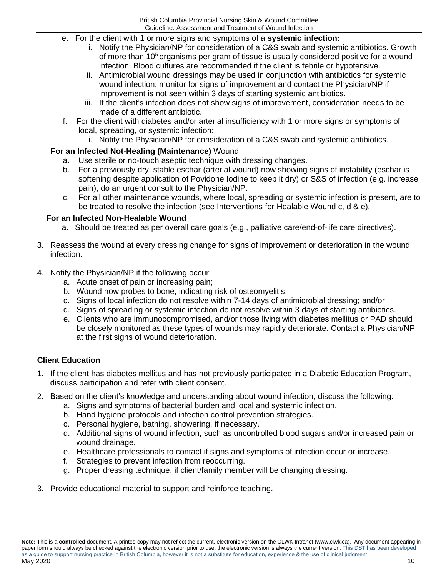- e. For the client with 1 or more signs and symptoms of a **systemic infection:**
	- i. Notify the Physician/NP for consideration of a C&S swab and systemic antibiotics. Growth of more than  $10<sup>5</sup>$  organisms per gram of tissue is usually considered positive for a wound infection. Blood cultures are recommended if the client is febrile or hypotensive.
	- ii. Antimicrobial wound dressings may be used in conjunction with antibiotics for systemic wound infection; monitor for signs of improvement and contact the Physician/NP if improvement is not seen within 3 days of starting systemic antibiotics.
	- iii. If the client's infection does not show signs of improvement, consideration needs to be made of a different antibiotic.
- f. For the client with diabetes and/or arterial insufficiency with 1 or more signs or symptoms of local, spreading, or systemic infection:
	- i. Notify the Physician/NP for consideration of a C&S swab and systemic antibiotics.

## **For an Infected Not-Healing (Maintenance)** Wound

- a. Use sterile or no-touch aseptic technique with dressing changes.
- b. For a previously dry, stable eschar (arterial wound) now showing signs of instability (eschar is softening despite application of Povidone Iodine to keep it dry) or S&S of infection (e.g. increase pain), do an urgent consult to the Physician/NP.
- c. For all other maintenance wounds, where local, spreading or systemic infection is present, are to be treated to resolve the infection (see Interventions for Healable Wound c,  $d \& e$ ).

## **For an Infected Non-Healable Wound**

- a. Should be treated as per overall care goals (e.g., palliative care/end-of-life care directives).
- 3. Reassess the wound at every dressing change for signs of improvement or deterioration in the wound infection.
- 4. Notify the Physician/NP if the following occur:
	- a. Acute onset of pain or increasing pain;
	- b. Wound now probes to bone, indicating risk of osteomyelitis;
	- c. Signs of local infection do not resolve within 7-14 days of antimicrobial dressing; and/or
	- d. Signs of spreading or systemic infection do not resolve within 3 days of starting antibiotics.
	- e. Clients who are immunocompromised, and/or those living with diabetes mellitus or PAD should be closely monitored as these types of wounds may rapidly deteriorate. Contact a Physician/NP at the first signs of wound deterioration.

## **Client Education**

- 1. If the client has diabetes mellitus and has not previously participated in a Diabetic Education Program, discuss participation and refer with client consent.
- 2. Based on the client's knowledge and understanding about wound infection, discuss the following:
	- a. Signs and symptoms of bacterial burden and local and systemic infection.
	- b. Hand hygiene protocols and infection control prevention strategies.
	- c. Personal hygiene, bathing, showering, if necessary.
	- d. Additional signs of wound infection, such as uncontrolled blood sugars and/or increased pain or wound drainage.
	- e. Healthcare professionals to contact if signs and symptoms of infection occur or increase.
	- f. Strategies to prevent infection from reoccurring.
	- g. Proper dressing technique, if client/family member will be changing dressing.
- 3. Provide educational material to support and reinforce teaching.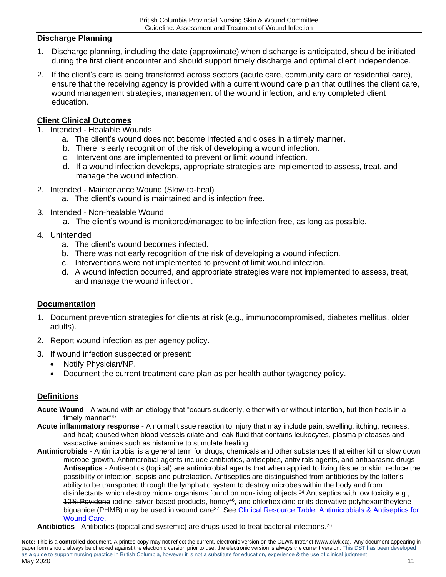## **Discharge Planning**

- 1. Discharge planning, including the date (approximate) when discharge is anticipated, should be initiated during the first client encounter and should support timely discharge and optimal client independence.
- 2. If the client's care is being transferred across sectors (acute care, community care or residential care), ensure that the receiving agency is provided with a current wound care plan that outlines the client care, wound management strategies, management of the wound infection, and any completed client education.

## **Client Clinical Outcomes**

- 1. Intended Healable Wounds
	- a. The client's wound does not become infected and closes in a timely manner.
	- b. There is early recognition of the risk of developing a wound infection.
	- c. Interventions are implemented to prevent or limit wound infection.
	- d. If a wound infection develops, appropriate strategies are implemented to assess, treat, and manage the wound infection.
- 2. Intended Maintenance Wound (Slow-to-heal)
	- a. The client's wound is maintained and is infection free.
- 3. Intended Non-healable Wound
	- a. The client's wound is monitored/managed to be infection free, as long as possible.
- 4. Unintended
	- a. The client's wound becomes infected.
	- b. There was not early recognition of the risk of developing a wound infection.
	- c. Interventions were not implemented to prevent of limit wound infection.
	- d. A wound infection occurred, and appropriate strategies were not implemented to assess, treat, and manage the wound infection.

## **Documentation**

- 1. Document prevention strategies for clients at risk (e.g., immunocompromised, diabetes mellitus, older adults).
- 2. Report wound infection as per agency policy.
- 3. If wound infection suspected or present:
	- Notify Physician/NP.
	- Document the current treatment care plan as per health authority/agency policy.

## <span id="page-10-0"></span>**Definitions**

- **Acute Wound** A wound with an etiology that "occurs suddenly, either with or without intention, but then heals in a timely manner"47
- **Acute inflammatory response** A normal tissue reaction to injury that may include pain, swelling, itching, redness, and heat; caused when blood vessels dilate and leak fluid that contains leukocytes, plasma proteases and vasoactive amines such as histamine to stimulate healing.
- **Antimicrobials** Antimicrobial is a general term for drugs, chemicals and other substances that either kill or slow down microbe growth. Antimicrobial agents include antibiotics, antiseptics, antivirals agents, and antiparasitic drugs **Antiseptics** - Antiseptics (topical) are antimicrobial agents that when applied to living tissue or skin, reduce the possibility of infection, sepsis and putrefaction. Antiseptics are distinguished from antibiotics by the latter's ability to be transported through the lymphatic system to destroy microbes within the body and from disinfectants which destroy micro- organisms found on non-living objects.<sup>24</sup> Antiseptics with low toxicity e.g., 10% Povidone-iodine, silver-based products, honey<sup>46</sup>, and chlorhexidine or its derivative polyhexamtheylene biguanide (PHMB) may be used in wound care<sup>37</sup>. See <u>Clinical Resource Table: Antimicrobials & Antiseptics for</u> [Wound Care.](https://www.clwk.ca/buddydrive/file/coming-soon/)
- **Antibiotics** Antibiotics (topical and systemic) are drugs used to treat bacterial infections.<sup>26</sup>

**Note:** This is a **controlled** document. A printed copy may not reflect the current, electronic version on the CLWK Intranet (www.clwk.ca). Any document appearing in paper form should always be checked against the electronic version prior to use; the electronic version is always the current version. This DST has been developed as a guide to support nursing practice in British Columbia, however it is not a substitute for education, experience & the use of clinical judgment. . 11 يون مايو 1920 كان المسابق المسابق المسابق المسابق المسابق المسابق المسابق المسابق المسابق المسابق المسابق المسابق المسابق المسابق المسابق المسابق المسابق المسابق المسابق المسابق المسابق المسابق المسابق المسابق المساب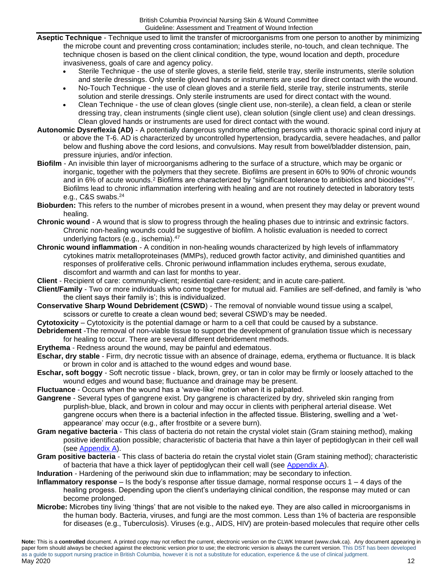- **Aseptic Technique** Technique used to limit the transfer of microorganisms from one person to another by minimizing the microbe count and preventing cross contamination; includes sterile, no-touch, and clean technique. The technique chosen is based on the client clinical condition, the type, wound location and depth, procedure invasiveness, goals of care and agency policy.
	- Sterile Technique the use of sterile gloves, a sterile field, sterile tray, sterile instruments, sterile solution and sterile dressings. Only sterile gloved hands or instruments are used for direct contact with the wound.
	- No-Touch Technique the use of clean gloves and a sterile field, sterile tray, sterile instruments, sterile solution and sterile dressings. Only sterile instruments are used for direct contact with the wound.
	- Clean Technique the use of clean gloves (single client use, non-sterile), a clean field, a clean or sterile dressing tray, clean instruments (single client use), clean solution (single client use) and clean dressings. Clean gloved hands or instruments are used for direct contact with the wound.
- **Autonomic Dysreflexia (AD)** A potentially dangerous syndrome affecting persons with a thoracic spinal cord injury at or above the T-6. AD is characterized by uncontrolled hypertension, bradycardia, severe headaches, and pallor below and flushing above the cord lesions, and convulsions. May result from bowel/bladder distension, pain, pressure injuries, and/or infection.
- **Biofilm** An invisible thin layer of microorganisms adhering to the surface of a structure, which may be organic or inorganic, together with the polymers that they secrete. Biofilms are present in 60% to 90% of chronic wounds and in 6% of acute wounds.<sup>2</sup> Biofilms are characterized by "significant tolerance to antibiotics and biocides"<sup>47</sup>. Biofilms lead to chronic inflammation interfering with healing and are not routinely detected in laboratory tests e.g., C&S swabs.<sup>24</sup>
- **Bioburden:** This refers to the number of microbes present in a wound, when present they may delay or prevent wound healing.
- **Chronic wound** A wound that is slow to progress through the healing phases due to intrinsic and extrinsic factors. Chronic non-healing wounds could be suggestive of biofilm. A holistic evaluation is needed to correct underlying factors (e.g., ischemia).<sup>47</sup>
- **Chronic wound inflammation** A condition in non-healing wounds characterized by high levels of inflammatory cytokines matrix metalloproteinases (MMPs), reduced growth factor activity, and diminished quantities and responses of proliferative cells. Chronic periwound inflammation includes erythema, serous exudate, discomfort and warmth and can last for months to year.
- **Client** Recipient of care: community-client; residential care-resident; and in acute care-patient.
- **Client/Family** Two or more individuals who come together for mutual aid. Families are self-defined, and family is 'who the client says their family is'; this is individualized.
- **Conservative Sharp Wound Debridement (CSWD**) The removal of nonviable wound tissue using a scalpel, scissors or curette to create a clean wound bed; several CSWD's may be needed.
- **Cytotoxicity**  Cytotoxicity is the potential damage or harm to a cell that could be caused by a substance.
- **Debridement** -The removal of non-viable tissue to support the development of granulation tissue which is necessary for healing to occur. There are several different debridement methods.
- **Erythema** Redness around the wound, may be painful and edematous.
- **Eschar, dry stable** Firm, dry necrotic tissue with an absence of drainage, edema, erythema or fluctuance. It is black or brown in color and is attached to the wound edges and wound base.
- **Eschar, soft boggy** Soft necrotic tissue black, brown, grey, or tan in color may be firmly or loosely attached to the wound edges and wound base; fluctuance and drainage may be present.
- **Fluctuance** Occurs when the wound has a 'wave-like' motion when it is palpated.
- **Gangrene** Several types of gangrene exist. Dry gangrene is characterized by dry, shriveled skin ranging from purplish-blue, black, and brown in colour and may occur in clients with peripheral arterial disease. Wet gangrene occurs when there is a bacterial infection in the affected tissue. Blistering, swelling and a 'wetappearance' may occur (e.g., after frostbite or a severe burn).
- **Gram negative bacteria** This class of bacteria do not retain the crystal violet stain (Gram staining method), making positive identification possible; characteristic of bacteria that have a thin layer of peptidoglycan in their cell wall (see [Appendix A\)](#page-15-0).
- **Gram positive bacteria** This class of bacteria do retain the crystal violet stain (Gram staining method); characteristic of bacteria that have a thick layer of peptidoglycan their cell wall (see [Appendix A\)](#page-15-0).
- **Induration** Hardening of the periwound skin due to inflammation; may be secondary to infection.
- **Inflammatory response** Is the body's response after tissue damage, normal response occurs 1 4 days of the healing progess. Depending upon the client's underlaying clinical condition, the response may muted or can become prolonged.
- **Microbe:** Microbes tiny living 'things' that are not visible to the naked eye. They are also called in microorganisms in the human body. Bacteria, viruses, and fungi are the most common. Less than 1% of bacteria are responsible for diseases (e.g., Tuberculosis). Viruses (e.g., AIDS, HIV) are protein-based molecules that require other cells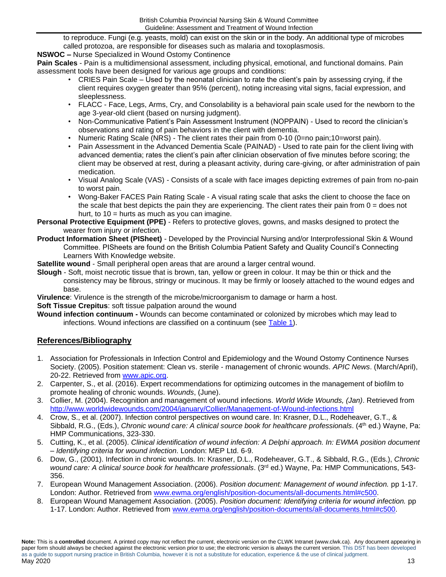to reproduce. Fungi (e.g. yeasts, mold) can exist on the skin or in the body. An additional type of microbes called protozoa, are responsible for diseases such as malaria and toxoplasmosis.

**NSWOC –** Nurse Specialized in Wound Ostomy Continence

**Pain Scales** - Pain is a multidimensional assessment, including physical, emotional, and functional domains. Pain assessment tools have been designed for various age groups and conditions:

- CRIES Pain Scale Used by the neonatal clinician to rate the client's pain by assessing crying, if the client requires oxygen greater than 95% (percent), noting increasing vital signs, facial expression, and sleeplessness.
- FLACC Face, Legs, Arms, Cry, and Consolability is a behavioral pain scale used for the newborn to the age 3-year-old client (based on nursing judgment).
- Non-Communicative Patient's Pain Assessment Instrument (NOPPAIN) Used to record the clinician's observations and rating of pain behaviors in the client with dementia.
- Numeric Rating Scale (NRS) The client rates their pain from 0-10 (0=no pain;10=worst pain).
- Pain Assessment in the Advanced Dementia Scale (PAINAD) Used to rate pain for the client living with advanced dementia; rates the client's pain after clinician observation of five minutes before scoring; the client may be observed at rest, during a pleasant activity, during care-giving, or after administration of pain medication.
- Visual Analog Scale (VAS) Consists of a scale with face images depicting extremes of pain from no-pain to worst pain.
- Wong-Baker FACES Pain Rating Scale A visual rating scale that asks the client to choose the face on the scale that best depicts the pain they are experiencing. The client rates their pain from  $0 =$  does not hurt, to  $10 =$  hurts as much as you can imagine.
- **Personal Protective Equipment (PPE)** Refers to protective gloves, gowns, and masks designed to protect the wearer from injury or infection.
- **Product Information Sheet (PISheet)** Developed by the Provincial Nursing and/or Interprofessional Skin & Wound Committee. PISheets are found on the British Columbia Patient Safety and Quality Council's Connecting Learners With Knowledge website.
- **Satellite wound** Small peripheral open areas that are around a larger central wound.
- **Slough** Soft, moist necrotic tissue that is brown, tan, yellow or green in colour. It may be thin or thick and the consistency may be fibrous, stringy or mucinous. It may be firmly or loosely attached to the wound edges and base.
- **Virulence**: Virulence is the strength of the microbe/microorganism to damage or harm a host.

### **Soft Tissue Crepitus:** soft tissue palpation around the wound

**Wound infection continuum -** Wounds can become contaminated or colonized by microbes which may lead to infections. Wound infections are classified on a continuum (see [Table 1\)](#page-2-0).

### <span id="page-12-0"></span>**References/Bibliography**

- 1. Association for Professionals in Infection Control and Epidemiology and the Wound Ostomy Continence Nurses Society. (2005). Position statement: Clean vs. sterile - management of chronic wounds. *APIC News*. (March/April), 20-22. Retrieved from [www.apic.org.](http://www.apic.org/)
- 2. Carpenter, S., et al. (2016). Expert recommendations for optimizing outcomes in the management of biofilm to promote healing of chronic wounds. *Wounds*, (June).
- 3. Collier, M. (2004). Recognition and management of wound infections. *World Wide Wounds, (Jan)*. Retrieved from <http://www.worldwidewounds.com/2004/january/Collier/Management-of-Wound-infections.html>
- 4. Crow, S., et al. (2007). Infection control perspectives on wound care. In: Krasner, D.L., Rodeheaver, G.T., & Sibbald, R.G., (Eds.), *Chronic wound care: A clinical source book for healthcare professionals*. (4<sup>th</sup> ed.) Wayne, Pa: HMP Communications, 323-330.
- 5. Cutting, K., et al. (2005). *Clinical identification of wound infection: A Delphi approach. In: EWMA position document – Identifying criteria for wound infection*. London: MEP Ltd. 6-9.
- 6. Dow, G., (2001). Infection in chronic wounds. In: Krasner, D.L., Rodeheaver, G.T., & Sibbald, R.G., (Eds.), *Chronic wound care: A clinical source book for healthcare professionals*. (3rd ed.) Wayne, Pa: HMP Communications, 543- 356.
- 7. European Wound Management Association. (2006). *Position document: Management of wound infection.* pp 1-17. London: Author. Retrieved from [www.ewma.org/english/position-documents/all-documents.html#c500.](http://www.ewma.org/english/position-documents/all-documents.html#c500)
- 8. European Wound Management Association. (2005). *Position document: Identifying criteria for wound infection.* pp 1-17. London: Author. Retrieved from [www.ewma.org/english/position-documents/all-documents.html#c500.](http://www.ewma.org/english/position-documents/all-documents.html#c500)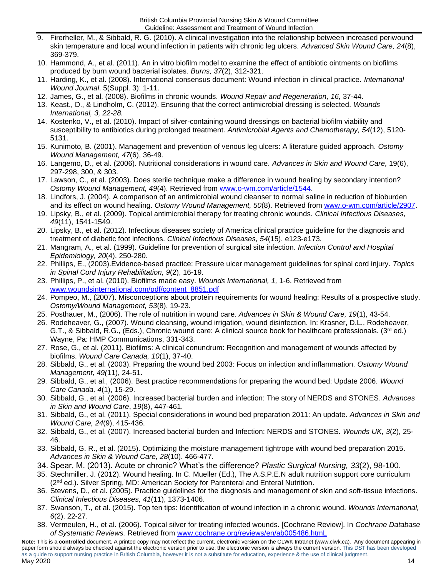- 9. Firerheller, M., & Sibbald, R. G. (2010). A clinical investigation into the relationship between increased periwound skin temperature and local wound infection in patients with chronic leg ulcers. *Advanced Skin Wound Care, 24*(8), 369-379.
- 10. Hammond, A., et al. (2011). An in vitro biofilm model to examine the effect of antibiotic ointments on biofilms produced by burn wound bacterial isolates. *Burns, 37*(2), 312-321.
- 11. Harding, K., et al. (2008). International consensus document: Wound infection in clinical practice. *International Wound Journal*. 5(Suppl. 3): 1-11.
- 12. James, G., et al. (2008). Biofilms in chronic wounds. *Wound Repair and Regeneration, 16,* 37-44.
- 13. Keast., D., & Lindholm, C. (2012). Ensuring that the correct antimicrobial dressing is selected. *Wounds International, 3, 22-28.*
- 14. Kostenko, V., et al. (2010). Impact of silver-containing wound dressings on bacterial biofilm viability and susceptibility to antibiotics during prolonged treatment. *Antimicrobial Agents and Chemotherapy, 54*(12), 5120- 5131.
- 15. Kunimoto, B. (2001). Management and prevention of venous leg ulcers: A literature guided approach. *Ostomy Wound Management, 47*(6), 36-49.
- 16. Langemo, D., et al. (2006). Nutritional considerations in wound care. *Advances in Skin and Wound Care,* 19(6), 297-298, 300, & 303.
- 17. Lawson, C., et al. (2003). Does sterile technique make a difference in wound healing by secondary intention? *Ostomy Wound Management, 49*(4). Retrieved from [www.o-wm.com/article/1544.](http://www.o-wm.com/article/1544)
- 18. Lindfors, J. (2004). A comparison of an antimicrobial wound cleanser to normal saline in reduction of bioburden and its effect on wound healing. *Ostomy Wound Management, 50*(8). Retrieved from [www.o-wm.com/article/2907.](http://www.o-wm.com/article/2907)
- 19. Lipsky, B., et al. (2009). Topical antimicrobial therapy for treating chronic wounds. *Clinical Infectious Diseases, 49*(11), 1541-1549.
- 20. Lipsky, B., et al. (2012). Infectious diseases society of America clinical practice guideline for the diagnosis and treatment of diabetic foot infections. *Clinical Infectious Diseases, 54*(15), e123-e173.
- 21. Mangram, A., et al. (1999). Guideline for prevention of surgical site infection. *Infection Control and Hospital Epidemiology, 20*(4), 250-280.
- 22. Phillips, E., (2003).Evidence-based practice: Pressure ulcer management guidelines for spinal cord injury. *Topics in Spinal Cord Injury Rehabilitation, 9*(2), 16-19.
- 23. Phillips, P., et al. (2010). Biofilms made easy. *Wounds International, 1,* 1-6. Retrieved from [www.woundsinternational.com/pdf/content\\_8851.pdf](http://www.woundsinternational.com/pdf/content_8851.pdf)
- 24. Pompeo, M., (2007). Misconceptions about protein requirements for wound healing: Results of a prospective study. *Ostomy/Wound Management, 53*(8), 19-23.
- 25. Posthauer, M., (2006). The role of nutrition in wound care. *Advances in Skin & Wound Care, 19*(1), 43-54.
- 26. Rodeheaver, G., (2007). Wound cleansing, wound irrigation, wound disinfection. In: Krasner, D.L., Rodeheaver, G.T., & Sibbald, R.G., (Eds.), Chronic wound care: A clinical source book for healthcare professionals. (3<sup>rd</sup> ed.) Wayne, Pa: HMP Communications, 331-343.
- 27. Rose, G., et al. (2011). Biofilms: A clinical conundrum: Recognition and management of wounds affected by biofilms. *Wound Care Canada, 10*(1), 37-40.
- 28. Sibbald, G., et al. (2003). Preparing the wound bed 2003: Focus on infection and inflammation. *Ostomy Wound Management, 49(*11), 24-51.
- 29. Sibbald, G., et al., (2006). Best practice recommendations for preparing the wound bed: Update 2006. *Wound Care Canada, 4*(1), 15-29.
- 30. Sibbald, G., et al. (2006). Increased bacterial burden and infection: The story of NERDS and STONES. *Advances in Skin and Wound Care*, *19*(8), 447-461.
- 31. Sibbald, G., et al. (2011). Special considerations in wound bed preparation 2011: An update. *Advances in Skin and Wound Care, 24*(9), 415-436.
- 32. Sibbald, G., et al. (2007). Increased bacterial burden and Infection: NERDS and STONES. *Wounds UK, 3*(2), 25- 46.
- 33. Sibbald, G. R., et al. (2015). Optimizing the moisture management tightrope with wound bed preparation 2015. *Advances in Skin & Wound Care, 28*(10). 466-477.
- 34. Spear, M. (2013). Acute or chronic? What's the difference? *Plastic Surgical Nursing, 33*(2), 98-100.
- 35. Stechmiller, J. (2012). Wound healing. In C. Mueller (Ed.), The A.S.P.E.N adult nutrition support core curriculum (2nd ed.). Silver Spring, MD: American Society for Parenteral and Enteral Nutrition.
- 36. Stevens, D., et al. (2005). Practice guidelines for the diagnosis and management of skin and soft-tissue infections. *Clinical Infectious Diseases, 41*(11), 1373-1406.
- 37. Swanson, T., et al. (2015). Top ten tips: Identification of wound infection in a chronic wound. *Wounds International, 6*(2). 22-27.
- 38. Vermeulen, H., et al. (2006). Topical silver for treating infected wounds. [Cochrane Review]. In *Cochrane Database of Systematic Reviews.* Retrieved from [www.cochrane.org/reviews/en/ab005486.htmL](http://www.cochrane.org/reviews/en/ab005486.htmL)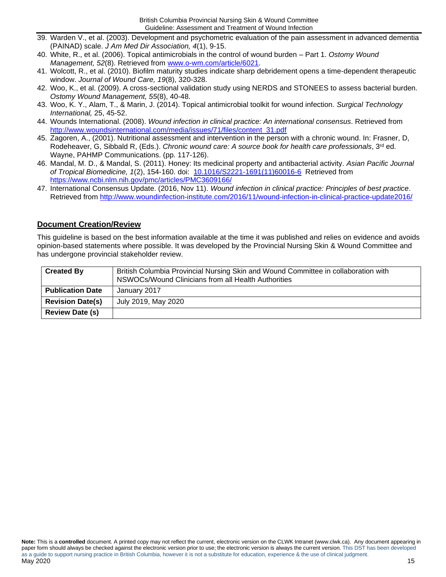- 39. Warden V., et al. (2003). Development and psychometric evaluation of the pain assessment in advanced dementia (PAINAD) scale. *J Am Med Dir Association, 4*(1), 9-15.
- 40. White, R., et al. (2006). Topical antimicrobials in the control of wound burden Part 1. *Ostomy Wound Management, 52*(8). Retrieved from [www.o-wm.com/article/6021.](http://www.o-wm.com/article/6021)
- 41. Wolcott, R., et al. (2010). Biofilm maturity studies indicate sharp debridement opens a time-dependent therapeutic window. *Journal of Wound Care, 19*(8), 320-328.
- 42. Woo, K., et al. (2009). A cross-sectional validation study using NERDS and STONEES to assess bacterial burden*. Ostomy Wound Management, 55*(8), 40-48.
- 43. Woo, K. Y., Alam, T., & Marin, J. (2014). Topical antimicrobial toolkit for wound infection. *Surgical Technology International,* 25, 45-52.
- 44. Wounds International. (2008). *Wound infection in clinical practice: An international consensus*. Retrieved from [http://www.woundsinternational.com/media/issues/71/files/content\\_31.pdf](http://www.woundsinternational.com/media/issues/71/files/content_31.pdf)
- 45. Zagoren, A., (2001). Nutritional assessment and intervention in the person with a chronic wound. In: Frasner, D, Rodeheaver, G, Sibbald R, (Eds.). *Chronic wound care: A source book for health care professionals*, 3<sup>rd</sup> ed. Wayne, PAHMP Communications. (pp. 117-126).
- 46. Mandal, M. D., & Mandal, S. (2011). Honey: Its medicinal property and antibacterial activity. *Asian Pacific Journal of Tropical Biomedicine, 1*(2), 154-160. doi: [10.1016/S2221-1691\(11\)60016-6](https://dx.doi.org/10.1016%2FS2221-1691(11)60016-6) Retrieved from <https://www.ncbi.nlm.nih.gov/pmc/articles/PMC3609166/>
- 47. International Consensus Update. (2016, Nov 11). *Wound infection in clinical practice: Principles of best practice*. Retrieved from<http://www.woundinfection-institute.com/2016/11/wound-infection-in-clinical-practice-update2016/>

## <span id="page-14-0"></span>**Document Creation/Review**

This guideline is based on the best information available at the time it was published and relies on evidence and avoids opinion-based statements where possible. It was developed by the Provincial Nursing Skin & Wound Committee and has undergone provincial stakeholder review.

| <b>Created By</b>       | British Columbia Provincial Nursing Skin and Wound Committee in collaboration with<br>NSWOCs/Wound Clinicians from all Health Authorities |
|-------------------------|-------------------------------------------------------------------------------------------------------------------------------------------|
| <b>Publication Date</b> | January 2017                                                                                                                              |
| <b>Revision Date(s)</b> | July 2019, May 2020                                                                                                                       |
| <b>Review Date (s)</b>  |                                                                                                                                           |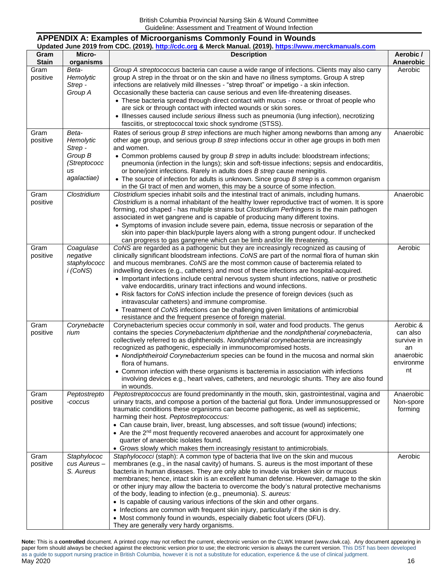### <span id="page-15-0"></span>**APPENDIX A: Examples of Microorganisms Commonly Found in Wounds Updated June 2019 from CDC. (2019)[. http://cdc.org](http://cdc.org/) & Merck Manual. (2019). [https://www.merckmanuals.com](https://www.merckmanuals.com/)**

| Gram             | Micro-       | <b>Description</b>                                                                                                                                                                           | Aerobic /       |
|------------------|--------------|----------------------------------------------------------------------------------------------------------------------------------------------------------------------------------------------|-----------------|
| <b>Stain</b>     | organisms    |                                                                                                                                                                                              | Anaerobic       |
| Gram             | Beta-        | Group A streptococcus bacteria can cause a wide range of infections. Clients may also carry                                                                                                  | Aerobic         |
| positive         | Hemolytic    | group A strep in the throat or on the skin and have no illness symptoms. Group A strep                                                                                                       |                 |
|                  | Strep -      | infections are relatively mild illnesses - "strep throat" or impetigo - a skin infection.                                                                                                    |                 |
|                  | Group A      | Occasionally these bacteria can cause serious and even life-threatening diseases.<br>• These bacteria spread through direct contact with mucus - nose or throat of people who                |                 |
|                  |              | are sick or through contact with infected wounds or skin sores.                                                                                                                              |                 |
|                  |              | • Illnesses caused include serious illness such as pneumonia (lung infection), necrotizing                                                                                                   |                 |
|                  |              | fasciitis, or streptococcal toxic shock syndrome (STSS).                                                                                                                                     |                 |
| Gram             | Beta-        | Rates of serious group B strep infections are much higher among newborns than among any                                                                                                      | Anaerobic       |
| positive         | Hemolytic    | other age group, and serious group B strep infections occur in other age groups in both men                                                                                                  |                 |
|                  | Strep -      | and women.                                                                                                                                                                                   |                 |
|                  | Group B      | • Common problems caused by group B strep in adults include: bloodstream infections;                                                                                                         |                 |
|                  | (Streptococc | pneumonia (infection in the lungs); skin and soft-tissue infections; sepsis and endocarditis,                                                                                                |                 |
|                  | us           | or bone/joint infections. Rarely in adults does B strep cause meningitis.                                                                                                                    |                 |
|                  | agalactiae)  | • The source of infection for adults is unknown. Since group B strep is a common organism                                                                                                    |                 |
|                  |              | in the GI tract of men and women, this may be a source of some infection.                                                                                                                    |                 |
| Gram<br>positive | Clostridium  | Clostridium species inhabit soils and the intestinal tract of animals, including humans.<br>Clostridium is a normal inhabitant of the healthy lower reproductive tract of women. It is spore | Anaerobic       |
|                  |              | forming, rod shaped - has multiple strains but Clostridium Perfringens is the main pathogen                                                                                                  |                 |
|                  |              | associated in wet gangrene and is capable of producing many different toxins.                                                                                                                |                 |
|                  |              | • Symptoms of invasion include severe pain, edema, tissue necrosis or separation of the                                                                                                      |                 |
|                  |              | skin into paper-thin black/purple layers along with a strong pungent odour. If unchecked                                                                                                     |                 |
|                  |              | can progress to gas gangrene which can be limb and/or life threatening.                                                                                                                      |                 |
| Gram             | Coagulase    | CoNS are regarded as a pathogenic but they are increasingly recognized as causing of                                                                                                         | Aerobic         |
| positive         | negative     | clinically significant bloodstream infections. CoNS are part of the normal flora of human skin                                                                                               |                 |
|                  | staphylococc | and mucous membranes. CoNS are the most common cause of bacteremia related to                                                                                                                |                 |
|                  | i (CoNS)     | indwelling devices (e.g., catheters) and most of these infections are hospital-acquired.                                                                                                     |                 |
|                  |              | • Important infections include central nervous system shunt infections, native or prosthetic<br>valve endocarditis, urinary tract infections and wound infections.                           |                 |
|                  |              | • Risk factors for CoNS infection include the presence of foreign devices (such as                                                                                                           |                 |
|                  |              | intravascular catheters) and immune compromise.                                                                                                                                              |                 |
|                  |              | • Treatment of CoNS infections can be challenging given limitations of antimicrobial                                                                                                         |                 |
|                  |              | resistance and the frequent presence of foreign material.                                                                                                                                    |                 |
| Gram             | Corynebacte  | Corynebacterium species occur commonly in soil, water and food products. The genus                                                                                                           | Aerobic &       |
| positive         | rium         | contains the species Corynebacterium diphtheriae and the nondiphtherial corynebacteria,                                                                                                      | can also        |
|                  |              | collectively referred to as diphtheroids. Nondiphtherial corynebacteria are increasingly                                                                                                     | survive in      |
|                  |              | recognized as pathogenic, especially in immunocompromised hosts.                                                                                                                             | an<br>anaerobic |
|                  |              | • Nondiphtheiroid Corynebacterium species can be found in the mucosa and normal skin<br>flora of humans.                                                                                     | environme       |
|                  |              | • Common infection with these organisms is bacteremia in association with infections                                                                                                         | nt              |
|                  |              | involving devices e.g., heart valves, catheters, and neurologic shunts. They are also found                                                                                                  |                 |
|                  |              | in wounds.                                                                                                                                                                                   |                 |
| Gram             | Peptostrepto | Peptostreptococcus are found predominantly in the mouth, skin, gastrointestinal, vagina and                                                                                                  | Anaerobic       |
| positive         | -coccus      | urinary tracts, and compose a portion of the bacterial gut flora. Under immunosuppressed or                                                                                                  | Non-spore       |
|                  |              | traumatic conditions these organisms can become pathogenic, as well as septicemic,                                                                                                           | forming         |
|                  |              | harming their host. Peptostreptococcus:                                                                                                                                                      |                 |
|                  |              | • Can cause brain, liver, breast, lung abscesses, and soft tissue (wound) infections;                                                                                                        |                 |
|                  |              | • Are the 2 <sup>nd</sup> most frequently recovered anaerobes and account for approximately one<br>quarter of anaerobic isolates found.                                                      |                 |
|                  |              | • Grows slowly which makes them increasingly resistant to antimicrobials.                                                                                                                    |                 |
| Gram             | Staphylococ  | Staphylococci (staph): A common type of bacteria that live on the skin and mucous                                                                                                            | Aerobic         |
| positive         | cus Aureus-  | membranes (e.g., in the nasal cavity) of humans. S. aureus is the most important of these                                                                                                    |                 |
|                  | S. Aureus    | bacteria in human diseases. They are only able to invade via broken skin or mucous                                                                                                           |                 |
|                  |              | membranes; hence, intact skin is an excellent human defense. However, damage to the skin                                                                                                     |                 |
|                  |              | or other injury may allow the bacteria to overcome the body's natural protective mechanisms                                                                                                  |                 |
|                  |              | of the body, leading to infection (e.g., pneumonia). S. aureus:                                                                                                                              |                 |
|                  |              | • Is capable of causing various infections of the skin and other organs.                                                                                                                     |                 |
|                  |              | • Infections are common with frequent skin injury, particularly if the skin is dry.                                                                                                          |                 |
|                  |              | • Most commonly found in wounds, especially diabetic foot ulcers (DFU).<br>They are generally very hardy organisms.                                                                          |                 |
|                  |              |                                                                                                                                                                                              |                 |

**Note:** This is a **controlled** document. A printed copy may not reflect the current, electronic version on the CLWK Intranet (www.clwk.ca). Any document appearing in paper form should always be checked against the electronic version prior to use; the electronic version is always the current version. This DST has been developed as a guide to support nursing practice in British Columbia, however it is not a substitute for education, experience & the use of clinical judgment. . 16 يون المساحة المساحة المساحة المساحة المساحة المساحة المساحة المساحة المساحة المساحة المساحة المساحة المساحة ال<br>المساحة المساحة المساحة المساحة المساحة المساحة المساحة المساحة المساحة المساحة المساحة المساحة المساحة ا